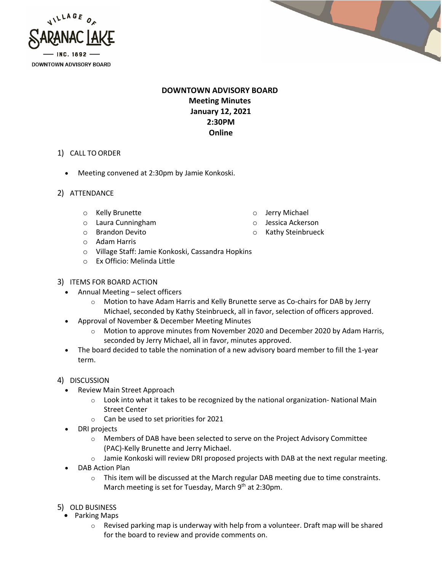



## **DOWNTOWN ADVISORY BOARD Meeting Minutes January 12, 2021 2:30PM Online**

- 1) CALL TO ORDER
	- Meeting convened at 2:30pm by Jamie Konkoski.
- 2) ATTENDANCE
	- o Kelly Brunette
	- o Laura Cunningham
	- o Brandon Devito
	- o Adam Harris
	- o Village Staff: Jamie Konkoski, Cassandra Hopkins
	- o Ex Officio: Melinda Little
- 3) ITEMS FOR BOARD ACTION
	- Annual Meeting select officers
		- o Motion to have Adam Harris and Kelly Brunette serve as Co-chairs for DAB by Jerry Michael, seconded by Kathy Steinbrueck, all in favor, selection of officers approved.
	- Approval of November & December Meeting Minutes
		- $\circ$  Motion to approve minutes from November 2020 and December 2020 by Adam Harris, seconded by Jerry Michael, all in favor, minutes approved.
	- The board decided to table the nomination of a new advisory board member to fill the 1-year term.
- 4) DISCUSSION
	- Review Main Street Approach
		- $\circ$  Look into what it takes to be recognized by the national organization-National Main Street Center
		- o Can be used to set priorities for 2021
	- DRI projects
		- $\circ$  Members of DAB have been selected to serve on the Project Advisory Committee (PAC)-Kelly Brunette and Jerry Michael.
		- $\circ$  Jamie Konkoski will review DRI proposed projects with DAB at the next regular meeting.
	- DAB Action Plan
		- $\circ$  This item will be discussed at the March regular DAB meeting due to time constraints. March meeting is set for Tuesday, March 9<sup>th</sup> at 2:30pm.
- 5) OLD BUSINESS
	- Parking Maps
		- $\circ$  Revised parking map is underway with help from a volunteer. Draft map will be shared for the board to review and provide comments on.
- o Jerry Michael
- o Jessica Ackerson
- o Kathy Steinbrueck